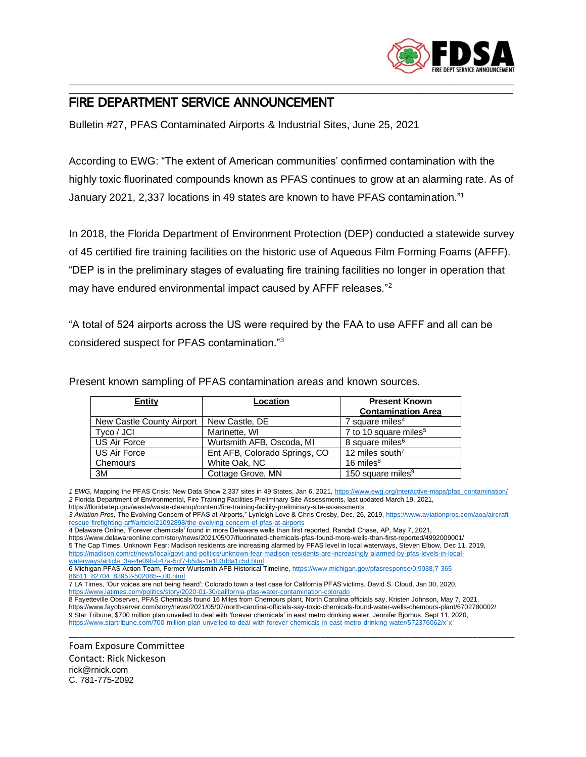

## \_\_\_\_\_\_\_\_\_\_\_\_\_\_\_\_\_\_\_\_\_\_\_\_\_\_\_\_\_\_\_\_\_\_\_\_\_\_\_\_\_\_\_\_\_\_\_\_\_\_\_\_\_\_\_\_\_\_\_\_\_\_\_\_\_\_\_\_\_\_\_\_\_\_\_\_\_\_\_\_\_\_\_\_\_\_\_\_\_\_\_\_\_\_\_\_\_\_\_\_\_\_\_\_\_\_\_\_\_\_\_\_\_\_\_\_ FIRE DEPARTMENT SERVICE ANNOUNCEMENT

Bulletin #27, PFAS Contaminated Airports & Industrial Sites, June 25, 2021

According to EWG: "The extent of American communities' confirmed contamination with the highly toxic fluorinated compounds known as PFAS continues to grow at an alarming rate. As of January 2021, 2,337 locations in 49 states are known to have PFAS contamination." 1

\_\_\_\_\_\_\_\_\_\_\_\_\_\_\_\_\_\_\_\_\_\_\_\_\_\_\_\_\_\_\_\_\_\_\_\_\_\_\_\_\_\_\_\_\_\_\_\_\_\_\_\_\_\_\_\_\_\_\_\_\_\_\_\_\_\_\_\_\_\_\_\_\_\_\_\_\_\_\_\_\_\_\_\_\_\_\_\_\_\_\_\_\_\_\_\_\_\_\_\_\_\_\_\_\_\_\_\_\_\_\_\_\_\_\_\_

In 2018, the Florida Department of Environment Protection (DEP) conducted a statewide survey of 45 certified fire training facilities on the historic use of Aqueous Film Forming Foams (AFFF). "DEP is in the preliminary stages of evaluating fire training facilities no longer in operation that may have endured environmental impact caused by AFFF releases."<sup>2</sup>

"A total of 524 airports across the US were required by the FAA to use AFFF and all can be considered suspect for PFAS contamination."<sup>3</sup>

| <b>Entity</b>             | Location                      | <b>Present Known</b><br><b>Contamination Area</b> |
|---------------------------|-------------------------------|---------------------------------------------------|
| New Castle County Airport | New Castle, DE                | 7 square miles <sup>4</sup>                       |
| Tyco / JCI                | Marinette, WI                 | 7 to 10 square miles <sup>5</sup>                 |
| US Air Force              | Wurtsmith AFB, Oscoda, MI     | 8 square miles <sup>6</sup>                       |
| <b>US Air Force</b>       | Ent AFB, Colorado Springs, CO | 12 miles south <sup>7</sup>                       |
| Chemours                  | White Oak, NC                 | 16 miles $8$                                      |
| 3M                        | Cottage Grove, MN             | 150 square miles <sup>9</sup>                     |

Present known sampling of PFAS contamination areas and known sources.

*1 EWG,* Mapping the PFAS Crisis: New Data Show 2,337 sites in 49 States, Jan 6, 2021, [https://www.ewg.org/interactive-maps/pfas\\_contamination/](https://www.ewg.org/interactive-maps/pfas_contamination/) *2* Florida Department of Environmental, Fire Training Facilities Preliminary Site Assessments, last updated March 19, 2021,

https://floridadep.gov/waste/waste-cleanup/content/fire-training-facility-preliminary-site-assessments

*3 Aviation Pros,* The Evolving Concern of PFAS at Airports," Lynleigh Love & Chris Crosby, Dec, 26, 2019[, https://www.aviationpros.com/aoa/aircraft](https://www.aviationpros.com/aoa/aircraft-rescue-firefighting-arff/article/21092898/the-evolving-concern-of-pfas-at-airports)[rescue-firefighting-arff/article/21092898/the-evolving-concern-of-pfas-at-airports](https://www.aviationpros.com/aoa/aircraft-rescue-firefighting-arff/article/21092898/the-evolving-concern-of-pfas-at-airports)

4 Delaware Online, 'Forever chemicals' found in more Delaware wells than first reported, Randall Chase, AP, May 7, 2021,

https://www.delawareonline.com/story/news/2021/05/07/fluorinated-chemicals-pfas-found-more-wells-than-first-reported/4992009001/ 5 The Cap Times, Unknown Fear: Madison residents are increasing alarmed by PFAS level in local waterways, Steven Elbow, Dec 11, 2019, [https://madison.com/ct/news/local/govt-and-politics/unknown-fear-madison-residents-are-increasingly-alarmed-by-pfas-levels-in-local](https://madison.com/ct/news/local/govt-and-politics/unknown-fear-madison-residents-are-increasingly-alarmed-by-pfas-levels-in-local-waterways/article_3ae4e09b-b47a-5cf7-b5da-1e1b3d8a1c5d.html)[waterways/article\\_3ae4e09b-b47a-5cf7-b5da-1e1b3d8a1c5d.html](https://madison.com/ct/news/local/govt-and-politics/unknown-fear-madison-residents-are-increasingly-alarmed-by-pfas-levels-in-local-waterways/article_3ae4e09b-b47a-5cf7-b5da-1e1b3d8a1c5d.html)

6 Michigan PFAS Action Team, Former Wurtsmith AFB Historical Timeline, [https://www.michigan.gov/pfasresponse/0,9038,7-365-](https://www.michigan.gov/pfasresponse/0,9038,7-365-86511_82704_83952-502085--,00.html) [86511\\_82704\\_83952-502085--,00.html](https://www.michigan.gov/pfasresponse/0,9038,7-365-86511_82704_83952-502085--,00.html)

\_\_\_\_\_\_\_\_\_\_\_\_\_\_\_\_\_\_\_\_\_\_\_\_\_\_\_\_\_\_\_\_\_\_\_\_\_\_\_\_\_\_\_\_\_\_\_\_\_\_\_\_\_\_\_\_\_\_\_\_\_\_\_\_\_\_\_\_\_\_\_\_\_\_\_\_\_\_\_\_\_\_\_\_\_

Foam Exposure Committee Contact: Rick Nickeson rick@rnick.com C. 781-775-2092

<sup>7</sup> LA Times, 'Our voices are not being heard': Colorado town a test case for California PFAS victims, David S. Cloud, Jan 30, 2020, <https://www.latimes.com/politics/story/2020-01-30/california-pfas-water-contamination-colorado>

<sup>8</sup> Fayetteville Observer, PFAS Chemicals found 16 Miles from Chemours plant, North Carolina officials say, Kristen Johnson, May 7, 2021, https://www.fayobserver.com/story/news/2021/05/07/north-carolina-officials-say-toxic-chemicals-found-water-wells-chemours-plant/6702780002/ 9 Star Tribune, \$700 million plan unveiled to deal with 'forever chemicals' in east metro drinking water, Jennifer Bjorhus, Sept 11, 2020, [https://www.startribune.com/700-million-plan-unveiled-to-deal-with-forever-chemicals-in-east-metro-drinking-water/572376062/x`x`](https://www.startribune.com/700-million-plan-unveiled-to-deal-with-forever-chemicals-in-east-metro-drinking-water/572376062/x%60x%60)